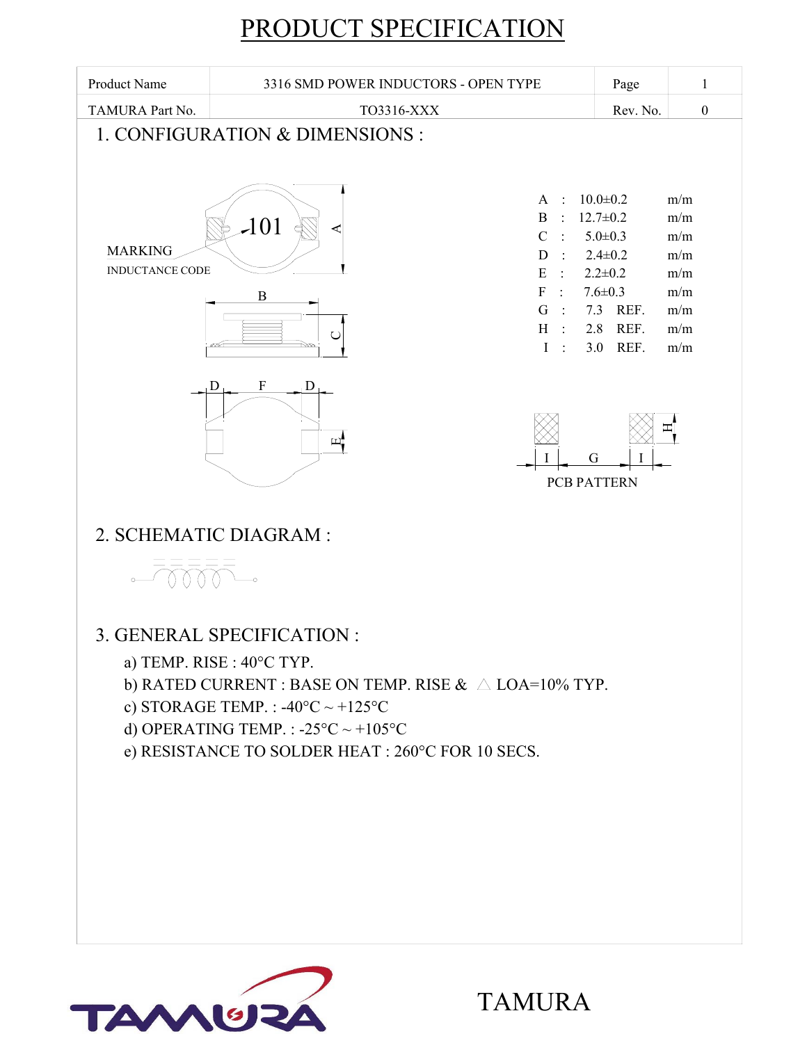

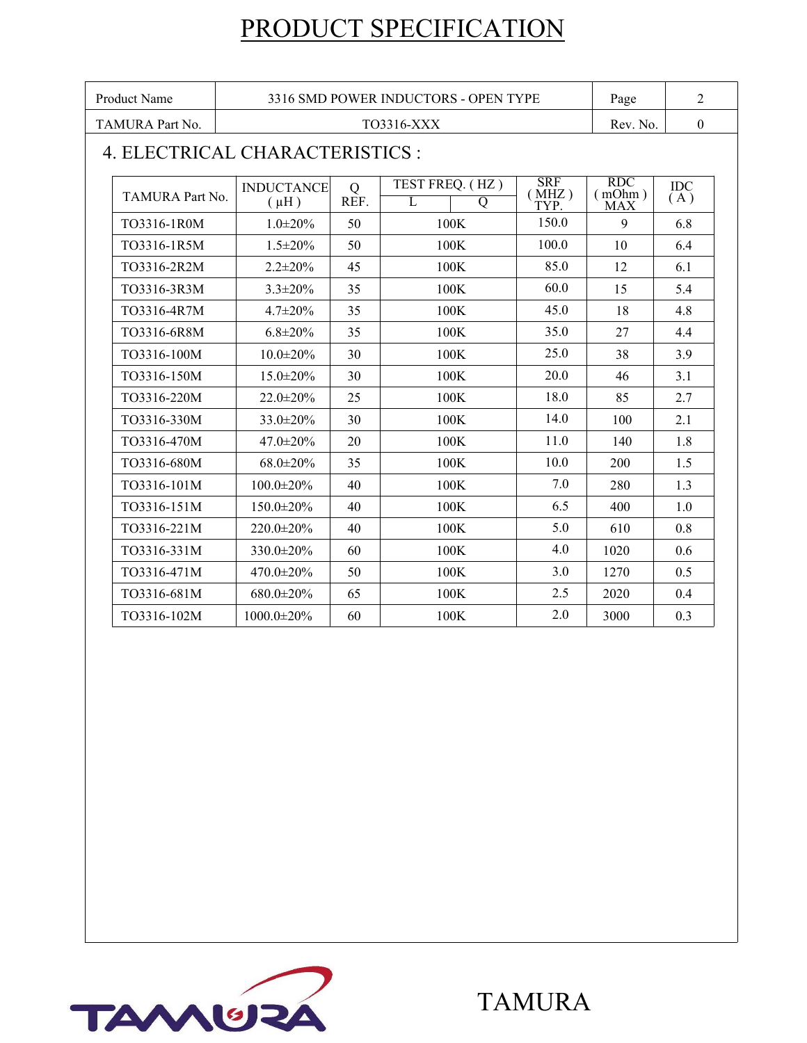| <b>Product Name</b>             | 3316 SMD POWER INDUCTORS - OPEN TYPE |           |                                      |                             | Page                        | $\overline{2}$    |
|---------------------------------|--------------------------------------|-----------|--------------------------------------|-----------------------------|-----------------------------|-------------------|
| TAMURA Part No.                 | TO3316-XXX                           |           |                                      |                             |                             | $\boldsymbol{0}$  |
| 4. ELECTRICAL CHARACTERISTICS : |                                      |           |                                      |                             |                             |                   |
| <b>TAMURA Part No.</b>          | <b>INDUCTANCE</b><br>$(\mu H)$       | Q<br>REF. | TEST FREQ. (HZ)<br>$\mathbf{L}$<br>Q | <b>SRF</b><br>(MHZ)<br>TYP. | RDC<br>(mOhm)<br><b>MAX</b> | <b>IDC</b><br>(A) |
| TO3316-1R0M                     | $1.0 \pm 20\%$                       | 50        | 100K                                 | 150.0                       | 9                           | 6.8               |
| TO3316-1R5M                     | $1.5 \pm 20\%$                       | 50        | 100K                                 | 100.0                       | 10                          | 6.4               |
| TO3316-2R2M                     | $2.2 \pm 20\%$                       | 45        | 100K                                 | 85.0                        | 12                          | 6.1               |
| TO3316-3R3M                     | $3.3 \pm 20\%$                       | 35        | 100K                                 | 60.0                        | 15                          | 5.4               |
| TO3316-4R7M                     | $4.7 \pm 20\%$                       | 35        | 100K                                 | 45.0                        | 18                          | 4.8               |
| TO3316-6R8M                     | $6.8 \pm 20\%$                       | 35        | 100K                                 | 35.0                        | 27                          | 4.4               |
| TO3316-100M                     | $10.0 \pm 20\%$                      | 30        | 100K                                 | 25.0                        | 38                          | 3.9               |
| TO3316-150M                     | $15.0 \pm 20\%$                      | 30        | 100K                                 | 20.0                        | 46                          | 3.1               |
| TO3316-220M                     | $22.0 \pm 20\%$                      | 25        | 100K                                 | 18.0                        | 85                          | 2.7               |
| TO3316-330M                     | $33.0 \pm 20\%$                      | 30        | 100K                                 | 14.0                        | 100                         | 2.1               |
| TO3316-470M                     | $47.0 \pm 20\%$                      | 20        | 100K                                 | 11.0                        | 140                         | 1.8               |
| TO3316-680M                     | $68.0 \pm 20\%$                      | 35        | 100K                                 | 10.0                        | 200                         | 1.5               |
| TO3316-101M                     | $100.0 \pm 20\%$                     | 40        | 100K                                 | 7.0                         | 280                         | 1.3               |
| TO3316-151M                     | $150.0 \pm 20\%$                     | 40        | 100K                                 | 6.5                         | 400                         | 1.0               |
| TO3316-221M                     | 220.0±20%                            | 40        | 100K                                 | 5.0                         | 610                         | 0.8               |
| TO3316-331M                     | 330.0±20%                            | 60        | 100K                                 | 4.0                         | 1020                        | 0.6               |
| TO3316-471M                     | 470.0±20%                            | 50        | 100K                                 | 3.0                         | 1270                        | 0.5               |
| TO3316-681M                     | 680.0±20%                            | 65        | 100K                                 | 2.5                         | 2020                        | 0.4               |
| TO3316-102M                     | $1000.0 \pm 20\%$                    | 60        | 100K                                 | 2.0                         | 3000                        | 0.3               |

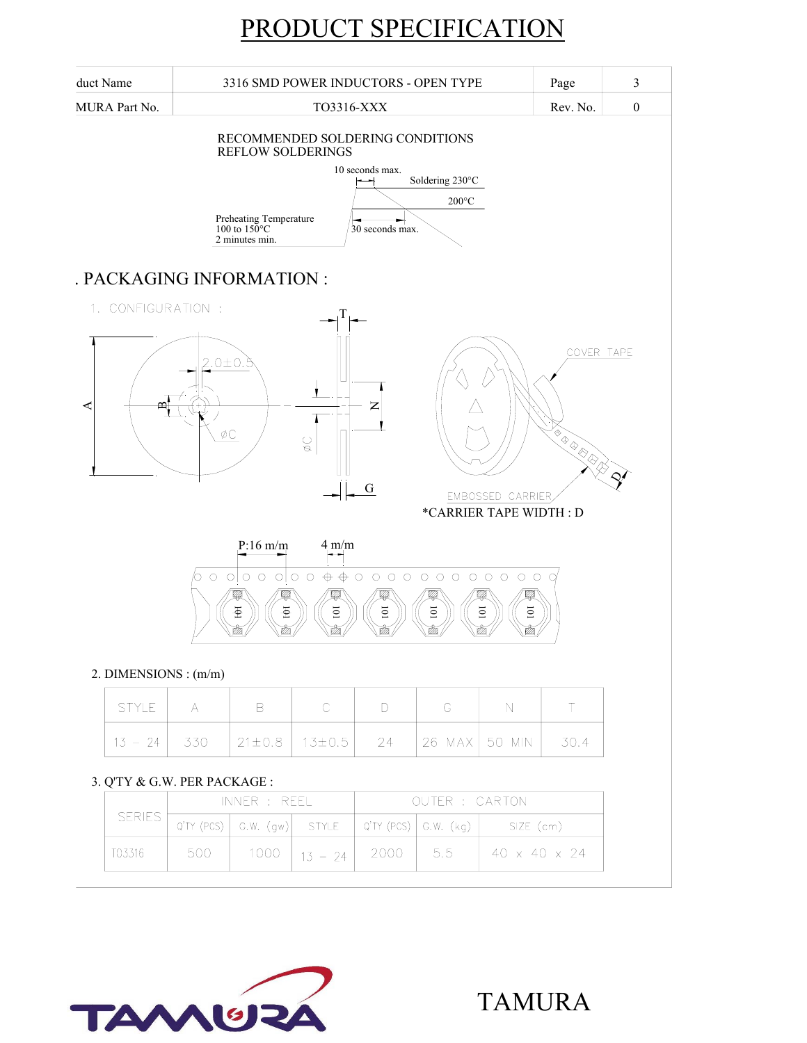



500

1000

 $13 - 24$ 

T03316

TAMURA

40 x 40 x 24

5.5

2000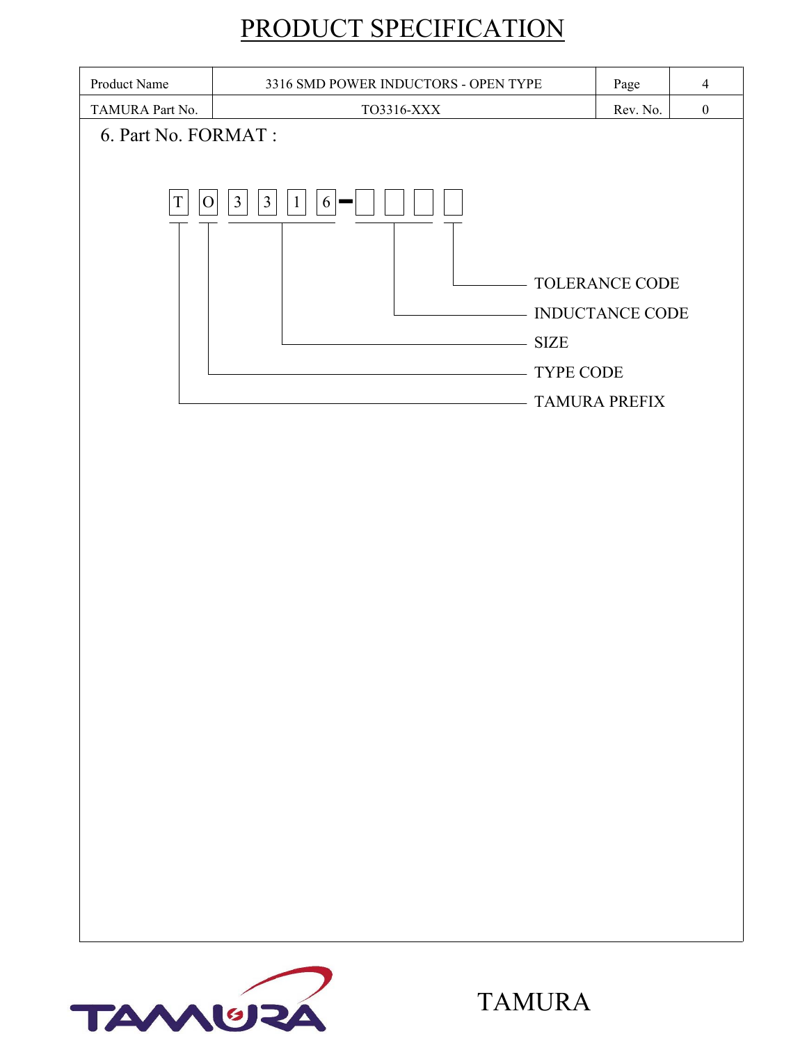